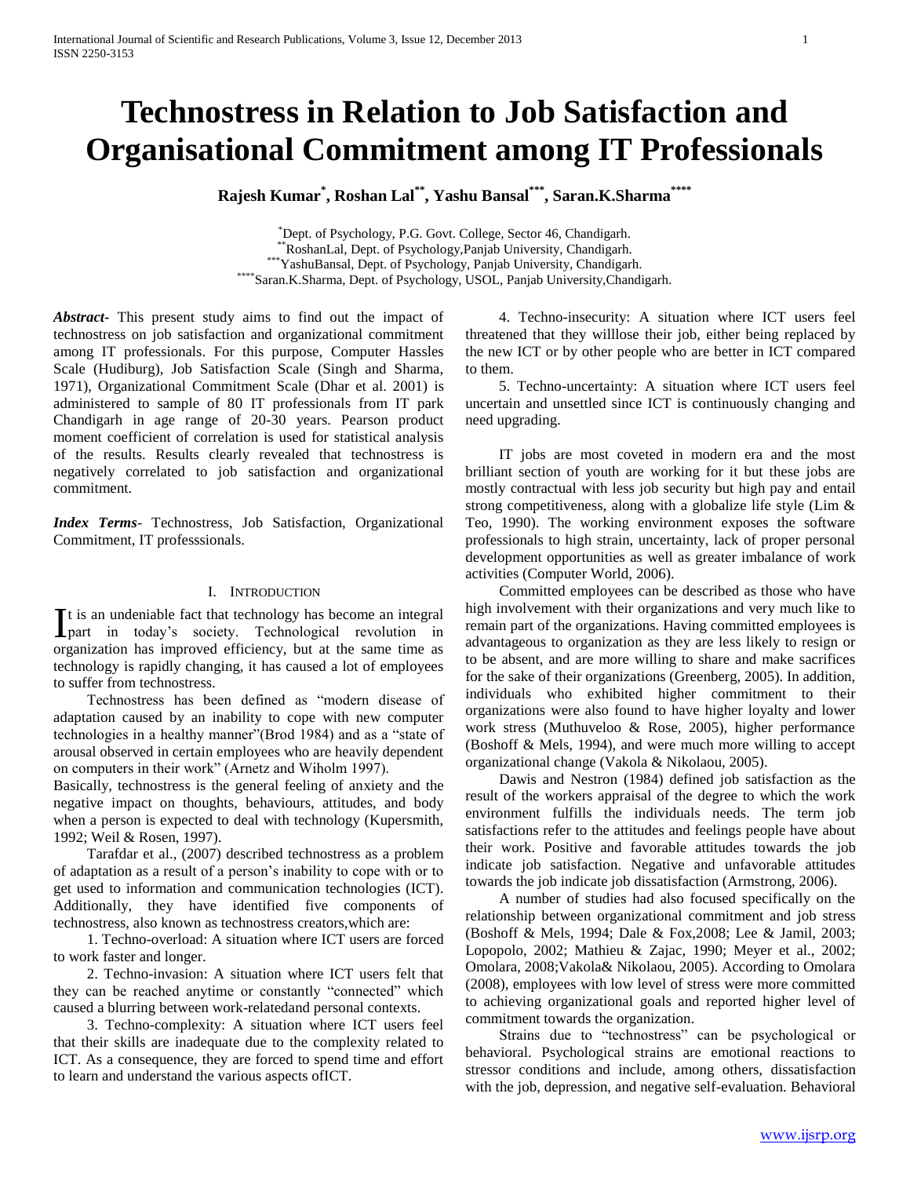# **Technostress in Relation to Job Satisfaction and Organisational Commitment among IT Professionals**

**Rajesh Kumar\* , Roshan Lal\*\*, Yashu Bansal\*\*\*, Saran.K.Sharma\*\*\*\***

\*Dept. of Psychology, P.G. Govt. College, Sector 46, Chandigarh. \*\*RoshanLal, Dept. of Psychology,Panjab University, Chandigarh. \*\*\*YashuBansal, Dept. of Psychology, Panjab University, Chandigarh. \*\*\*\*Saran.K.Sharma, Dept. of Psychology, USOL, Panjab University,Chandigarh.

*Abstract***-** This present study aims to find out the impact of technostress on job satisfaction and organizational commitment among IT professionals. For this purpose, Computer Hassles Scale (Hudiburg), Job Satisfaction Scale (Singh and Sharma, 1971), Organizational Commitment Scale (Dhar et al. 2001) is administered to sample of 80 IT professionals from IT park Chandigarh in age range of 20-30 years. Pearson product moment coefficient of correlation is used for statistical analysis of the results. Results clearly revealed that technostress is negatively correlated to job satisfaction and organizational commitment.

*Index Terms*- Technostress, Job Satisfaction, Organizational Commitment, IT professsionals.

## I. INTRODUCTION

t is an undeniable fact that technology has become an integral  $\prod$ t is an undeniable fact that technology has become an integral<br>
part in today's society. Technological revolution in organization has improved efficiency, but at the same time as technology is rapidly changing, it has caused a lot of employees to suffer from technostress.

 Technostress has been defined as "modern disease of adaptation caused by an inability to cope with new computer technologies in a healthy manner"(Brod 1984) and as a "state of arousal observed in certain employees who are heavily dependent on computers in their work" (Arnetz and Wiholm 1997).

Basically, technostress is the general feeling of anxiety and the negative impact on thoughts, behaviours, attitudes, and body when a person is expected to deal with technology (Kupersmith, 1992; Weil & Rosen, 1997).

 Tarafdar et al., (2007) described technostress as a problem of adaptation as a result of a person's inability to cope with or to get used to information and communication technologies (ICT). Additionally, they have identified five components of technostress, also known as technostress creators,which are:

 1. Techno-overload: A situation where ICT users are forced to work faster and longer.

 2. Techno-invasion: A situation where ICT users felt that they can be reached anytime or constantly "connected" which caused a blurring between work-relatedand personal contexts.

 3. Techno-complexity: A situation where ICT users feel that their skills are inadequate due to the complexity related to ICT. As a consequence, they are forced to spend time and effort to learn and understand the various aspects ofICT.

 4. Techno-insecurity: A situation where ICT users feel threatened that they willlose their job, either being replaced by the new ICT or by other people who are better in ICT compared to them.

 5. Techno-uncertainty: A situation where ICT users feel uncertain and unsettled since ICT is continuously changing and need upgrading.

 IT jobs are most coveted in modern era and the most brilliant section of youth are working for it but these jobs are mostly contractual with less job security but high pay and entail strong competitiveness, along with a globalize life style (Lim  $\&$ Teo, 1990). The working environment exposes the software professionals to high strain, uncertainty, lack of proper personal development opportunities as well as greater imbalance of work activities (Computer World, 2006).

 Committed employees can be described as those who have high involvement with their organizations and very much like to remain part of the organizations. Having committed employees is advantageous to organization as they are less likely to resign or to be absent, and are more willing to share and make sacrifices for the sake of their organizations (Greenberg, 2005). In addition, individuals who exhibited higher commitment to their organizations were also found to have higher loyalty and lower work stress (Muthuveloo & Rose, 2005), higher performance (Boshoff & Mels, 1994), and were much more willing to accept organizational change (Vakola & Nikolaou, 2005).

 Dawis and Nestron (1984) defined job satisfaction as the result of the workers appraisal of the degree to which the work environment fulfills the individuals needs. The term job satisfactions refer to the attitudes and feelings people have about their work. Positive and favorable attitudes towards the job indicate job satisfaction. Negative and unfavorable attitudes towards the job indicate job dissatisfaction (Armstrong, 2006).

 A number of studies had also focused specifically on the relationship between organizational commitment and job stress (Boshoff & Mels, 1994; Dale & Fox,2008; Lee & Jamil, 2003; Lopopolo, 2002; Mathieu & Zajac, 1990; Meyer et al., 2002; Omolara, 2008;Vakola& Nikolaou, 2005). According to Omolara (2008), employees with low level of stress were more committed to achieving organizational goals and reported higher level of commitment towards the organization.

 Strains due to "technostress" can be psychological or behavioral. Psychological strains are emotional reactions to stressor conditions and include, among others, dissatisfaction with the job, depression, and negative self-evaluation. Behavioral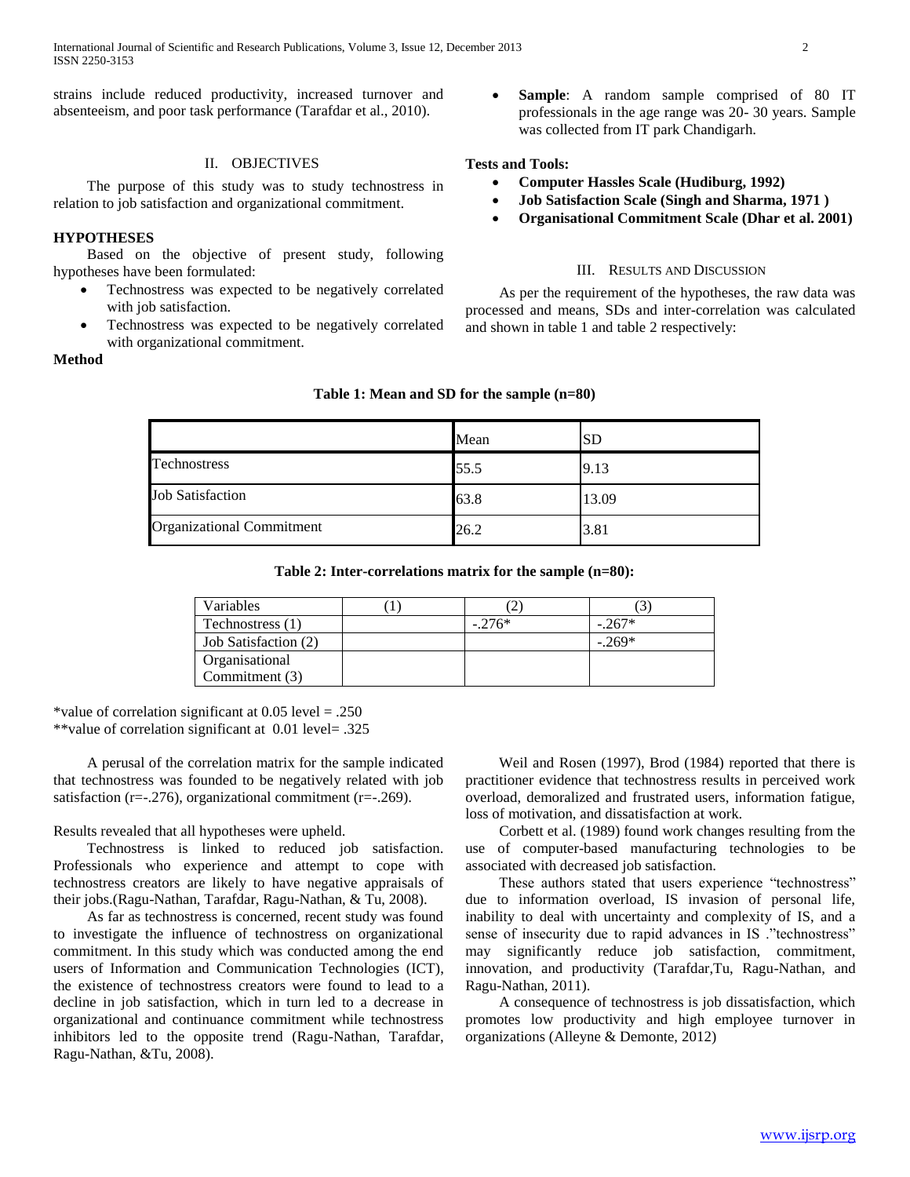strains include reduced productivity, increased turnover and absenteeism, and poor task performance (Tarafdar et al., 2010).

## II. OBJECTIVES

 The purpose of this study was to study technostress in relation to job satisfaction and organizational commitment.

# **HYPOTHESES**

 Based on the objective of present study, following hypotheses have been formulated:

- Technostress was expected to be negatively correlated with job satisfaction.
- Technostress was expected to be negatively correlated with organizational commitment.
- **Method**

## **Sample**: A random sample comprised of 80 IT professionals in the age range was 20- 30 years. Sample was collected from IT park Chandigarh.

# **Tests and Tools:**

- **Computer Hassles Scale (Hudiburg, 1992)**
- **Job Satisfaction Scale (Singh and Sharma, 1971 )**
- **Organisational Commitment Scale (Dhar et al. 2001)**

## III. RESULTS AND DISCUSSION

 As per the requirement of the hypotheses, the raw data was processed and means, SDs and inter-correlation was calculated and shown in table 1 and table 2 respectively:

|                                  | Mean | ΙSD   |  |
|----------------------------------|------|-------|--|
| Technostress                     | 55.5 | 9.13  |  |
| <b>Job Satisfaction</b>          | 63.8 | 13.09 |  |
| <b>Organizational Commitment</b> | 26.2 | 3.81  |  |

#### **Table 1: Mean and SD for the sample (n=80)**

**Table 2: Inter-correlations matrix for the sample (n=80):**

| Variables            | ∠        |          |
|----------------------|----------|----------|
| Technostress (1)     | $-.276*$ | $-.267*$ |
| Job Satisfaction (2) |          | $-.269*$ |
| Organisational       |          |          |
| Commitment (3)       |          |          |

\*value of correlation significant at 0.05 level = .250 \*\*value of correlation significant at 0.01 level= .325

 A perusal of the correlation matrix for the sample indicated that technostress was founded to be negatively related with job satisfaction ( $r=-1276$ ), organizational commitment ( $r=-1269$ ).

Results revealed that all hypotheses were upheld.

 Technostress is linked to reduced job satisfaction. Professionals who experience and attempt to cope with technostress creators are likely to have negative appraisals of their jobs.(Ragu-Nathan, Tarafdar, Ragu-Nathan, & Tu, 2008).

 As far as technostress is concerned, recent study was found to investigate the influence of technostress on organizational commitment. In this study which was conducted among the end users of Information and Communication Technologies (ICT), the existence of technostress creators were found to lead to a decline in job satisfaction, which in turn led to a decrease in organizational and continuance commitment while technostress inhibitors led to the opposite trend (Ragu-Nathan, Tarafdar, Ragu-Nathan, &Tu, 2008).

 Weil and Rosen (1997), Brod (1984) reported that there is practitioner evidence that technostress results in perceived work overload, demoralized and frustrated users, information fatigue, loss of motivation, and dissatisfaction at work.

 Corbett et al. (1989) found work changes resulting from the use of computer-based manufacturing technologies to be associated with decreased job satisfaction.

 These authors stated that users experience "technostress" due to information overload, IS invasion of personal life, inability to deal with uncertainty and complexity of IS, and a sense of insecurity due to rapid advances in IS ."technostress" may significantly reduce job satisfaction, commitment, innovation, and productivity (Tarafdar,Tu, Ragu-Nathan, and Ragu-Nathan, 2011).

 A consequence of technostress is job dissatisfaction, which promotes low productivity and high employee turnover in organizations (Alleyne & Demonte, 2012)